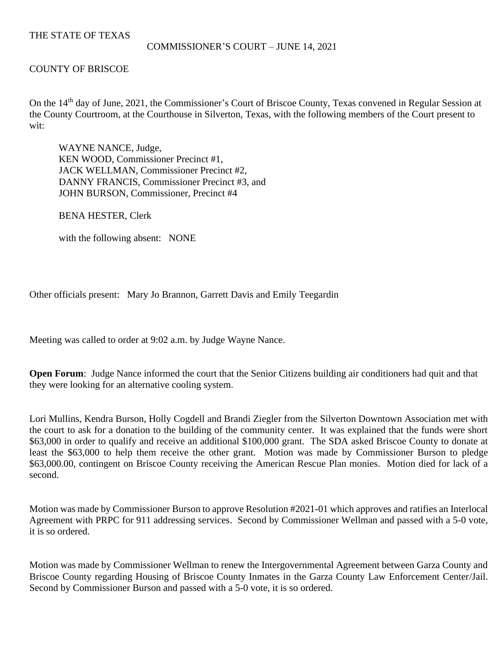# THE STATE OF TEXAS

## COMMISSIONER'S COURT – JUNE 14, 2021

# COUNTY OF BRISCOE

On the 14<sup>th</sup> day of June, 2021, the Commissioner's Court of Briscoe County, Texas convened in Regular Session at the County Courtroom, at the Courthouse in Silverton, Texas, with the following members of the Court present to wit:

WAYNE NANCE, Judge, KEN WOOD, Commissioner Precinct #1, JACK WELLMAN, Commissioner Precinct #2, DANNY FRANCIS, Commissioner Precinct #3, and JOHN BURSON, Commissioner, Precinct #4

BENA HESTER, Clerk

with the following absent: NONE

Other officials present: Mary Jo Brannon, Garrett Davis and Emily Teegardin

Meeting was called to order at 9:02 a.m. by Judge Wayne Nance.

**Open Forum:** Judge Nance informed the court that the Senior Citizens building air conditioners had quit and that they were looking for an alternative cooling system.

Lori Mullins, Kendra Burson, Holly Cogdell and Brandi Ziegler from the Silverton Downtown Association met with the court to ask for a donation to the building of the community center. It was explained that the funds were short \$63,000 in order to qualify and receive an additional \$100,000 grant. The SDA asked Briscoe County to donate at least the \$63,000 to help them receive the other grant. Motion was made by Commissioner Burson to pledge \$63,000.00, contingent on Briscoe County receiving the American Rescue Plan monies. Motion died for lack of a second.

Motion was made by Commissioner Burson to approve Resolution #2021-01 which approves and ratifies an Interlocal Agreement with PRPC for 911 addressing services. Second by Commissioner Wellman and passed with a 5-0 vote, it is so ordered.

Motion was made by Commissioner Wellman to renew the Intergovernmental Agreement between Garza County and Briscoe County regarding Housing of Briscoe County Inmates in the Garza County Law Enforcement Center/Jail. Second by Commissioner Burson and passed with a 5-0 vote, it is so ordered.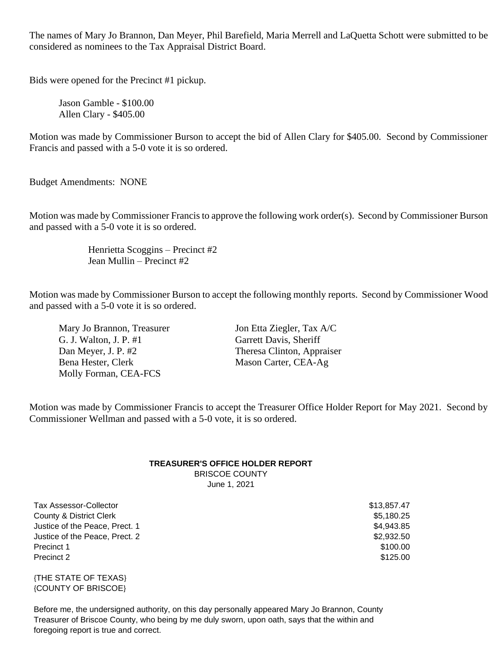The names of Mary Jo Brannon, Dan Meyer, Phil Barefield, Maria Merrell and LaQuetta Schott were submitted to be considered as nominees to the Tax Appraisal District Board.

Bids were opened for the Precinct #1 pickup.

Jason Gamble - \$100.00 Allen Clary - \$405.00

Motion was made by Commissioner Burson to accept the bid of Allen Clary for \$405.00. Second by Commissioner Francis and passed with a 5-0 vote it is so ordered.

Budget Amendments: NONE

Motion was made by Commissioner Francisto approve the following work order(s). Second by Commissioner Burson and passed with a 5-0 vote it is so ordered.

> Henrietta Scoggins – Precinct #2 Jean Mullin – Precinct #2

Motion was made by Commissioner Burson to accept the following monthly reports. Second by Commissioner Wood and passed with a 5-0 vote it is so ordered.

Mary Jo Brannon, Treasurer Jon Etta Ziegler, Tax A/C G. J. Walton, J. P. #1 Garrett Davis, Sheriff Dan Meyer, J. P. #2 Theresa Clinton, Appraiser Bena Hester, Clerk Mason Carter, CEA-Ag Molly Forman, CEA-FCS

Motion was made by Commissioner Francis to accept the Treasurer Office Holder Report for May 2021. Second by Commissioner Wellman and passed with a 5-0 vote, it is so ordered.

### **TREASURER'S OFFICE HOLDER REPORT** BRISCOE COUNTY

June 1, 2021

Tax Assessor-Collector \$13,857.47 County & District Clerk  $\sim$  55,180.25 Justice of the Peace, Prect. 1  $$4,943.85$ Justice of the Peace, Prect. 2  $$2,932.50$ Precinct 1  $$100.00$ Precinct 2  $$125.00$ 

{THE STATE OF TEXAS} {COUNTY OF BRISCOE}

Before me, the undersigned authority, on this day personally appeared Mary Jo Brannon, County Treasurer of Briscoe County, who being by me duly sworn, upon oath, says that the within and foregoing report is true and correct.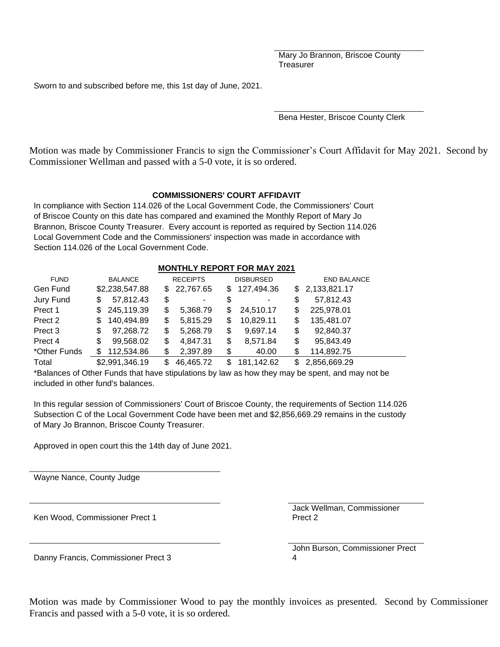Mary Jo Brannon, Briscoe County **Treasurer** 

Sworn to and subscribed before me, this 1st day of June, 2021.

Bena Hester, Briscoe County Clerk

Motion was made by Commissioner Francis to sign the Commissioner's Court Affidavit for May 2021. Second by Commissioner Wellman and passed with a 5-0 vote, it is so ordered.

### **COMMISSIONERS' COURT AFFIDAVIT**

In compliance with Section 114.026 of the Local Government Code, the Commissioners' Court of Briscoe County on this date has compared and examined the Monthly Report of Mary Jo Brannon, Briscoe County Treasurer. Every account is reported as required by Section 114.026 Local Government Code and the Commissioners' inspection was made in accordance with Section 114.026 of the Local Government Code.

#### **MONTHLY REPORT FOR MAY 2021**

| <b>FUND</b>        | <b>BALANCE</b>    |     | <b>RECEIPTS</b> |     | <b>DISBURSED</b> | <b>END BALANCE</b> |  |
|--------------------|-------------------|-----|-----------------|-----|------------------|--------------------|--|
| Gen Fund           | \$2,238,547.88    | SS. | 22,767.65       | \$. | 127,494.36       | \$2,133,821.17     |  |
| Jury Fund          | 57,812.43<br>\$   | \$  |                 | S   |                  | \$<br>57,812.43    |  |
| Prect 1            | 245,119.39<br>S.  | \$  | 5,368.79        | S   | 24,510.17        | \$<br>225,978.01   |  |
| Prect 2            | 140,494.89<br>\$. | \$  | 5,815.29        | S   | 10,829.11        | \$<br>135,481.07   |  |
| Prect <sub>3</sub> | 97,268.72<br>\$   | \$  | 5,268.79        | \$  | 9,697.14         | \$<br>92,840.37    |  |
| Prect 4            | 99,568.02<br>\$   | \$  | 4,847.31        | \$  | 8,571.84         | \$<br>95,843.49    |  |
| *Other Funds       | 112,534.86        | \$  | 2,397.89        | \$  | 40.00            | \$<br>114,892.75   |  |
| Total              | \$2,991,346.19    | S   | 46,465.72       | S   | 181,142.62       | 2,856,669.29       |  |

\*Balances of Other Funds that have stipulations by law as how they may be spent, and may not be included in other fund's balances.

In this regular session of Commissioners' Court of Briscoe County, the requirements of Section 114.026 Subsection C of the Local Government Code have been met and \$2,856,669.29 remains in the custody of Mary Jo Brannon, Briscoe County Treasurer.

Approved in open court this the 14th day of June 2021.

Wayne Nance, County Judge

Ken Wood, Commissioner Prect 1

Jack Wellman, Commissioner Prect 2

John Burson, Commissioner Prect 4

Danny Francis, Commissioner Prect 3

Motion was made by Commissioner Wood to pay the monthly invoices as presented. Second by Commissioner Francis and passed with a 5-0 vote, it is so ordered.